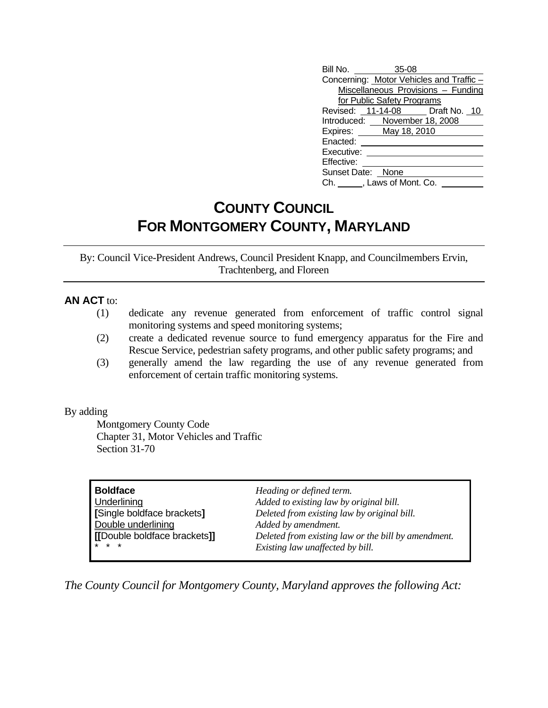| Bill No. 35-08                     |  |                                         |  |  |
|------------------------------------|--|-----------------------------------------|--|--|
|                                    |  | Concerning: Motor Vehicles and Traffic- |  |  |
| Miscellaneous Provisions - Funding |  |                                         |  |  |
| for Public Safety Programs         |  |                                         |  |  |
|                                    |  | Revised: 11-14-08 Draft No. 10          |  |  |
| Introduced: November 18, 2008      |  |                                         |  |  |
| Expires: <u>May 18, 2010</u>       |  |                                         |  |  |
| Enacted:                           |  |                                         |  |  |
| Executive:                         |  |                                         |  |  |
| Effective:                         |  |                                         |  |  |
| Sunset Date: None                  |  |                                         |  |  |
| Ch. , Laws of Mont. Co.            |  |                                         |  |  |

## **COUNTY COUNCIL FOR MONTGOMERY COUNTY, MARYLAND**

By: Council Vice-President Andrews, Council President Knapp, and Councilmembers Ervin, Trachtenberg, and Floreen

## **AN ACT** to:

- (1) dedicate any revenue generated from enforcement of traffic control signal monitoring systems and speed monitoring systems;
- (2) create a dedicated revenue source to fund emergency apparatus for the Fire and Rescue Service, pedestrian safety programs, and other public safety programs; and
- (3) generally amend the law regarding the use of any revenue generated from enforcement of certain traffic monitoring systems.

## By adding

 Montgomery County Code Chapter 31, Motor Vehicles and Traffic Section 31-70

| <b>Boldface</b>              | Heading or defined term.                            |
|------------------------------|-----------------------------------------------------|
| Underlining                  | Added to existing law by original bill.             |
| [Single boldface brackets]   | Deleted from existing law by original bill.         |
| Double underlining           | Added by amendment.                                 |
| [[Double boldface brackets]] | Deleted from existing law or the bill by amendment. |
| $*$ $*$ $*$                  | Existing law unaffected by bill.                    |

*The County Council for Montgomery County, Maryland approves the following Act:*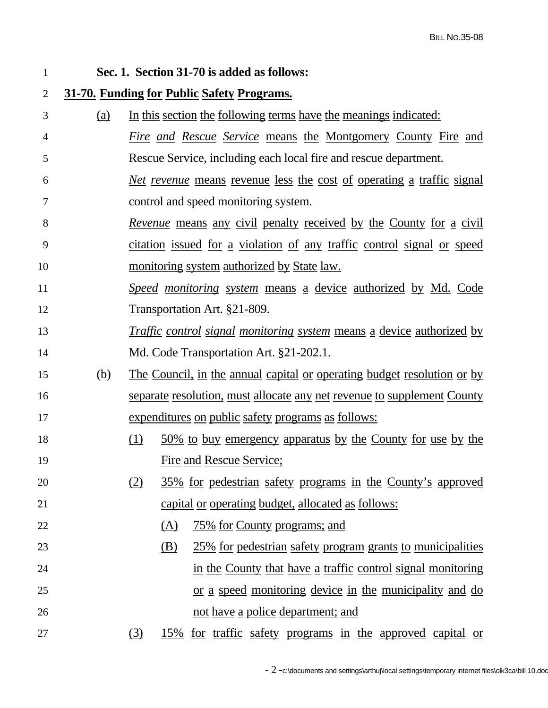1 **Sec. 1. Section 31-70 is added as follows:**  2 **31-70. Funding for Public Safety Programs.** 3 (a) In this section the following terms have the meanings indicated: 4 *Fire and Rescue Service* means the Montgomery County Fire and 5 Rescue Service, including each local fire and rescue department. 6 *Net revenue* means revenue less the cost of operating a traffic signal 7 control and speed monitoring system. 8 *Revenue* means any civil penalty received by the County for a civil 9 citation issued for a violation of any traffic control signal or speed 10 monitoring system authorized by State law. 11 *Speed monitoring system* means a device authorized by Md. Code 12 Transportation Art. §21-809. 13 *Traffic control signal monitoring system* means a device authorized by 14 Md. Code Transportation Art. §21-202.1. 15 (b) The Council, in the annual capital or operating budget resolution or by 16 separate resolution, must allocate any net revenue to supplement County 17 expenditures on public safety programs as follows: 18 (1) 50% to buy emergency apparatus by the County for use by the 19 Fire and Rescue Service; 20 (2) 35% for pedestrian safety programs in the County's approved 21 capital or operating budget, allocated as follows: 22 (A) 75% for County programs; and 23 (B) 25% for pedestrian safety program grants to municipalities 24 in the County that have a traffic control signal monitoring 25 or a speed monitoring device in the municipality and do 26 **not** have a police department; and 27 (3) 15% for traffic safety programs in the approved capital or